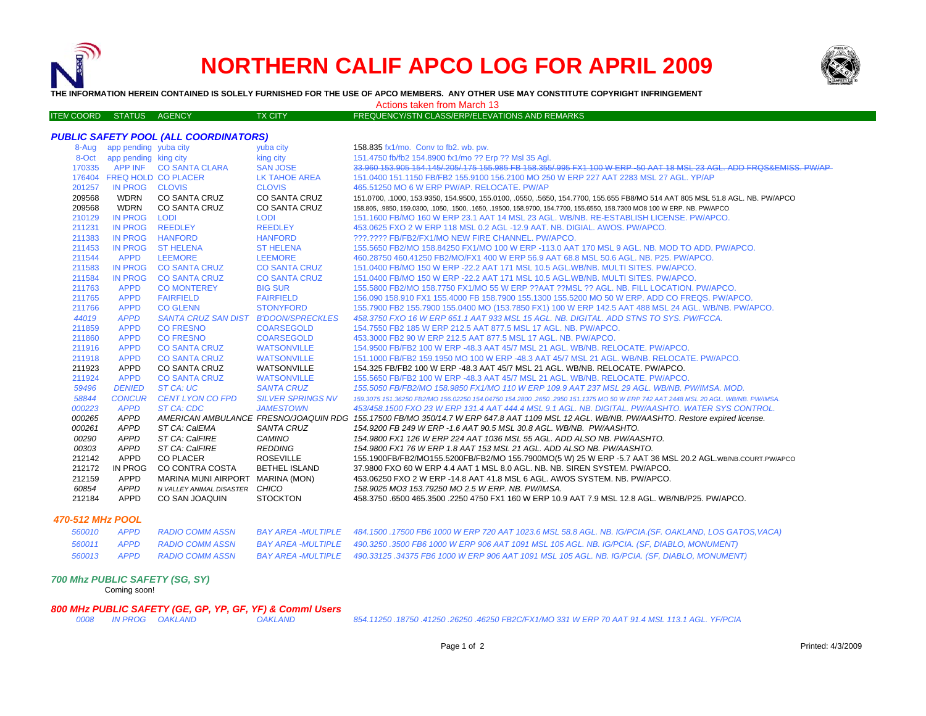

# **NORTHERN CALIF APCO LOG FOR APRIL 2009**



**THE INFORMATION HEREIN CONTAINED IS SOLELY FURNISHED FOR THE USE OF APCO MEMBERS. ANY OTHER USE MAY CONSTITUTE COPYRIGHT INFRINGEMENT**

Actions taken from March 13

| <b>ITEN COORD</b> | <b>STATUS</b> | AGENCY. | <b>TX CITY</b> | FREQUENCY/STN CLASS/ERP/ELEVATIONS AND REMARKS \ |
|-------------------|---------------|---------|----------------|--------------------------------------------------|

#### *PUBLIC SAFETY POOL (ALL COORDINATORS)*

| 8-Aug  | app pending yuba city |                                      | yuba city                | 158.835 fx1/mo. Conv to fb2. wb. pw.                                                                                                       |
|--------|-----------------------|--------------------------------------|--------------------------|--------------------------------------------------------------------------------------------------------------------------------------------|
| 8-Oct  | app pending king city |                                      | king city                | 151.4750 fb/fb2 154.8900 fx1/mo ?? Erp ?? Msl 35 Agl.                                                                                      |
| 170335 | <b>APP INF</b>        | <b>CO SANTA CLARA</b>                | <b>SAN JOSE</b>          | 33.960 153.905 154.145/205/175 155.985 FB 158.355/995 FX1 100 W ERP -50 AAT 18 MSL 23 AGL. ADD FROS&EMISS, PW/AP                           |
|        |                       | 176404 FREQ HOLD CO PLACER           | LK TAHOE AREA            | 151.0400 151.1150 FB/FB2 155.9100 156.2100 MO 250 W ERP 227 AAT 2283 MSL 27 AGL, YP/AP                                                     |
| 201257 | IN PROG CLOVIS        |                                      | <b>CLOVIS</b>            | 465.51250 MO 6 W ERP PW/AP, RELOCATE, PW/AP                                                                                                |
| 209568 | <b>WDRN</b>           | <b>CO SANTA CRUZ</b>                 | <b>CO SANTA CRUZ</b>     | 151.0700, .1000, 153.9350, 154.9500, 155.0100, .0550, .5650, 154.7700, 155.655 FB8/MO 514 AAT 805 MSL 51.8 AGL. NB. PW/APCO                |
| 209568 | <b>WDRN</b>           | CO SANTA CRUZ                        | <b>CO SANTA CRUZ</b>     | 158.805, 9850, 159.0300, 1050, 1500, 1650, 19500, 158.9700, 154.7700, 155.6550, 158.7300 MO8 100 W ERP. NB. PW/APCO                        |
| 210129 | <b>IN PROG</b>        | <b>LODI</b>                          | <b>LODI</b>              | 151.1600 FB/MO 160 W ERP 23.1 AAT 14 MSL 23 AGL. WB/NB. RE-ESTABLISH LICENSE. PW/APCO.                                                     |
| 211231 | <b>IN PROG</b>        | <b>REEDLEY</b>                       | <b>REEDLEY</b>           | 453.0625 FXO 2 W ERP 118 MSL 0.2 AGL -12.9 AAT. NB. DIGIAL. AWOS. PW/APCO.                                                                 |
| 211383 | <b>IN PROG</b>        | <b>HANFORD</b>                       | <b>HANFORD</b>           | ???.???? FB/FB2/FX1/MO NEW FIRE CHANNEL. PW/APCO.                                                                                          |
| 211453 | <b>IN PROG</b>        | <b>ST HELENA</b>                     | <b>ST HELENA</b>         | 155,5650 FB2/MO 158,84250 FX1/MO 100 W ERP -113.0 AAT 170 MSL 9 AGL, NB, MOD TO ADD, PW/APCO,                                              |
| 211544 | <b>APPD</b>           | <b>LEEMORE</b>                       | <b>LEEMORE</b>           | 460.28750 460.41250 FB2/MO/FX1 400 W ERP 56.9 AAT 68.8 MSL 50.6 AGL, NB, P25, PW/APCO,                                                     |
| 211583 | <b>IN PROG</b>        | <b>CO SANTA CRUZ</b>                 | <b>CO SANTA CRUZ</b>     | 151,0400 FB/MO 150 W ERP -22.2 AAT 171 MSL 10.5 AGL.WB/NB, MULTI SITES, PW/APCO,                                                           |
| 211584 | <b>IN PROG</b>        | <b>CO SANTA CRUZ</b>                 | <b>CO SANTA CRUZ</b>     | 151.0400 FB/MO 150 W ERP -22.2 AAT 171 MSL 10.5 AGL.WB/NB. MULTI SITES. PW/APCO.                                                           |
| 211763 | <b>APPD</b>           | <b>CO MONTEREY</b>                   | <b>BIG SUR</b>           | 155,5800 FB2/MO 158,7750 FX1/MO 55 W ERP ??AAT ??MSL ?? AGL, NB, FILL LOCATION, PW/APCO,                                                   |
| 211765 | <b>APPD</b>           | <b>FAIRFIELD</b>                     | <b>FAIRFIELD</b>         | 156,090 158,910 FX1 155,4000 FB 158,7900 155,1300 155,5200 MO 50 W ERP. ADD CO FREQS, PW/APCO,                                             |
| 211766 | <b>APPD</b>           | <b>CO GLENN</b>                      | <b>STONYFORD</b>         | 155.7900 FB2 155.7900 155.0400 MO (153.7850 FX1) 100 W ERP 142.5 AAT 488 MSL 24 AGL. WB/NB. PW/APCO.                                       |
| 44019  | <b>APPD</b>           | SANTA CRUZ SAN DIST B'DOON/SPRECKLES |                          | 458.3750 FXO 16 W ERP 651.1 AAT 933 MSL 15 AGL. NB. DIGITAL. ADD STNS TO SYS. PW/FCCA.                                                     |
| 211859 | <b>APPD</b>           | <b>CO FRESNO</b>                     | <b>COARSEGOLD</b>        | 154.7550 FB2 185 W ERP 212.5 AAT 877.5 MSL 17 AGL, NB, PW/APCO,                                                                            |
| 211860 | <b>APPD</b>           | <b>CO FRESNO</b>                     | <b>COARSEGOLD</b>        | 453,3000 FB2 90 W ERP 212.5 AAT 877.5 MSL 17 AGL, NB, PW/APCO,                                                                             |
| 211916 | <b>APPD</b>           | <b>CO SANTA CRUZ</b>                 | <b>WATSONVILLE</b>       | 154,9500 FB/FB2 100 W ERP -48.3 AAT 45/7 MSL 21 AGL, WB/NB, RELOCATE, PW/APCO,                                                             |
| 211918 | <b>APPD</b>           | <b>CO SANTA CRUZ</b>                 | <b>WATSONVILLE</b>       | 151.1000 FB/FB2 159.1950 MO 100 W ERP -48.3 AAT 45/7 MSL 21 AGL, WB/NB, RELOCATE, PW/APCO,                                                 |
| 211923 | <b>APPD</b>           | CO SANTA CRUZ                        | WATSONVILLE              | 154.325 FB/FB2 100 W ERP -48.3 AAT 45/7 MSL 21 AGL, WB/NB, RELOCATE, PW/APCO,                                                              |
| 211924 | <b>APPD</b>           | <b>CO SANTA CRUZ</b>                 | <b>WATSONVILLE</b>       | 155.5650 FB/FB2 100 W ERP -48.3 AAT 45/7 MSL 21 AGL. WB/NB. RELOCATE. PW/APCO.                                                             |
| 59496  | <b>DENIED</b>         | ST CA: UC                            | <b>SANTA CRUZ</b>        | 155.5050 FB/FB2/MO 158.9850 FX1/MO 110 W ERP 109.9 AAT 237 MSL 29 AGL. WB/NB. PW/IMSA. MOD.                                                |
| 58844  | <b>CONCUR</b>         | <b>CENT LYON CO FPD</b>              | <b>SILVER SPRINGS NV</b> | 159,3075 151,36250 FB2/MO 156,02250 154,04750 154,2800 ,2650 ,2950 151,1375 MO 50 W ERP 742 AAT 2448 MSL 20 AGL, WB/NB, PW/IMSA,           |
| 000223 | <b>APPD</b>           | ST CA: CDC                           | <b>JAMESTOWN</b>         | 453/458.1500 FXO 23 W ERP 131.4 AAT 444.4 MSL 9.1 AGL. NB. DIGITAL. PW/AASHTO. WATER SYS CONTROL.                                          |
| 000265 | <b>APPD</b>           |                                      |                          | AMERICAN AMBULANCE FRESNO/JOAQUIN RDG 155.17500 FB/MO 350/14.7 W ERP 647.8 AAT 1109 MSL 12 AGL. WB/NB. PW/AASHTO. Restore expired license. |
| 000261 | <b>APPD</b>           | ST CA: CalEMA                        | <b>SANTA CRUZ</b>        | 154,9200 FB 249 W ERP -1.6 AAT 90.5 MSL 30.8 AGL, WB/NB, PW/AASHTO.                                                                        |
| 00290  | <b>APPD</b>           | ST CA: CalFIRE                       | CAMINO                   | 154,9800 FX1 126 W ERP 224 AAT 1036 MSL 55 AGL. ADD ALSO NB. PW/AASHTO.                                                                    |
| 00303  | <b>APPD</b>           | ST CA: CalFIRE                       | <b>REDDING</b>           | 154.9800 FX1 76 W ERP 1.8 AAT 153 MSL 21 AGL. ADD ALSO NB. PW/AASHTO.                                                                      |
| 212142 | <b>APPD</b>           | <b>CO PLACER</b>                     | <b>ROSEVILLE</b>         | 155.1900FB/FB2/MO155.5200FB/FB2/MO 155.7900MO(5 W) 25 W ERP -5.7 AAT 36 MSL 20.2 AGL.WB/NB.COURT.PW/APCO                                   |
| 212172 | IN PROG               | CO CONTRA COSTA                      | <b>BETHEL ISLAND</b>     | 37,9800 FXO 60 W ERP 4.4 AAT 1 MSL 8.0 AGL, NB, NB, SIREN SYSTEM, PW/APCO,                                                                 |
| 212159 | <b>APPD</b>           | MARINA MUNI AIRPORT MARINA (MON)     |                          | 453.06250 FXO 2 W ERP -14.8 AAT 41.8 MSL 6 AGL, AWOS SYSTEM, NB, PW/APCO,                                                                  |
| 60854  | <b>APPD</b>           | N VALLEY ANIMAL DISASTER             | CHICO                    | 158.9025 MO3 153.79250 MO 2.5 W ERP. NB. PW/IMSA.                                                                                          |
| 212184 | <b>APPD</b>           | CO SAN JOAQUIN                       | <b>STOCKTON</b>          | 458.3750 .6500 465.3500 .2250 4750 FX1 160 W ERP 10.9 AAT 7.9 MSL 12.8 AGL. WB/NB/P25. PW/APCO.                                            |

### *470-512 MHz POOL*

|  |                             | BAY AREA -MULTIPLE 484.1500 .17500 FB6 1000 W ERP 720 AAT 1023.6 MSL 58.8 AGL. NB. IG/PCIA.(SF. OAKLAND, LOS GATOS, VACA)                    |
|--|-----------------------------|----------------------------------------------------------------------------------------------------------------------------------------------|
|  | 560011 APPD RADIO COMM ASSN | BAY AREA -MULTIPLE 490.3250 .3500 FB6 1000 W ERP 906 AAT 1091 MSL 105 AGL. NB. IG/PCIA. (SF, DIABLO, MONUMENT)                               |
|  |                             | 560013 APPD RADIO COMM ASSN BAY AREA -MULTIPLE 490.33125 .34375 FB6 1000 W ERP 906 AAT 1091 MSL 105 AGL. NB. IG/PCIA. (SF, DIABLO, MONUMENT) |

#### *700 Mhz PUBLIC SAFETY (SG, SY)*

Coming soon!

*800 MHz PUBLIC SAFETY (GE, GP, YP, GF, YF) & Comml Users*

 *IN PROG OAKLAND OAKLAND 854.11250 .18750 .41250 .26250 .46250 FB2C/FX1/MO 331 W ERP 70 AAT 91.4 MSL 113.1 AGL. YF/PCIA*